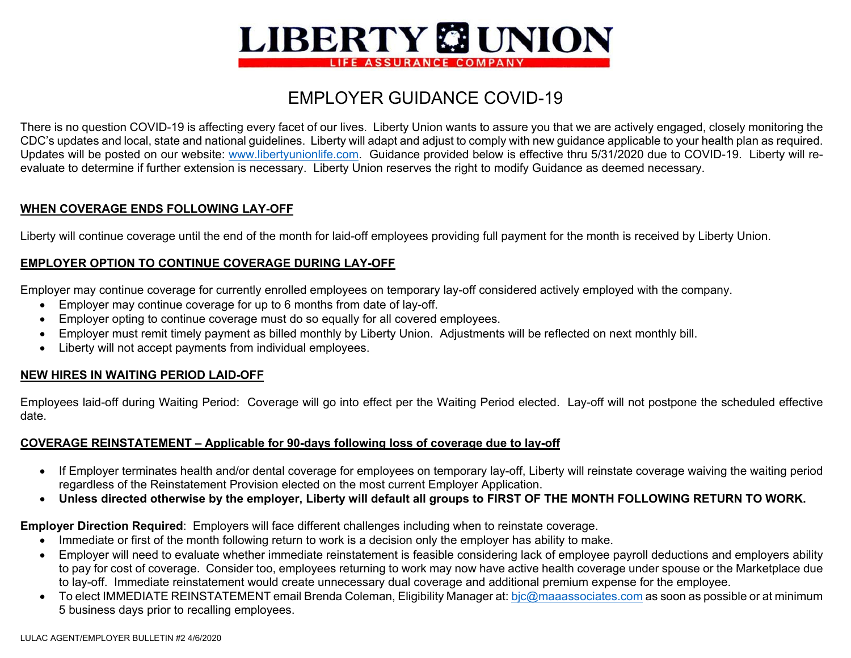

# EMPLOYER GUIDANCE COVID-19

There is no question COVID-19 is affecting every facet of our lives. Liberty Union wants to assure you that we are actively engaged, closely monitoring the CDC's updates and local, state and national guidelines. Liberty will adapt and adjust to comply with new guidance applicable to your health plan as required. Updates will be posted on our website: www.libertyunionlife.com. Guidance provided below is effective thru 5/31/2020 due to COVID-19. Liberty will reevaluate to determine if further extension is necessary. Liberty Union reserves the right to modify Guidance as deemed necessary.

## **WHEN COVERAGE ENDS FOLLOWING LAY-OFF**

Liberty will continue coverage until the end of the month for laid-off employees providing full payment for the month is received by Liberty Union.

# **EMPLOYER OPTION TO CONTINUE COVERAGE DURING LAY-OFF**

Employer may continue coverage for currently enrolled employees on temporary lay-off considered actively employed with the company.

- Employer may continue coverage for up to 6 months from date of lay-off.
- Employer opting to continue coverage must do so equally for all covered employees.
- Employer must remit timely payment as billed monthly by Liberty Union. Adjustments will be reflected on next monthly bill.
- Liberty will not accept payments from individual employees.

## **NEW HIRES IN WAITING PERIOD LAID-OFF**

Employees laid-off during Waiting Period: Coverage will go into effect per the Waiting Period elected. Lay-off will not postpone the scheduled effective date.

## **COVERAGE REINSTATEMENT – Applicable for 90-days following loss of coverage due to lay-off**

- If Employer terminates health and/or dental coverage for employees on temporary lay-off, Liberty will reinstate coverage waiving the waiting period regardless of the Reinstatement Provision elected on the most current Employer Application.
- $\bullet$ **Unless directed otherwise by the employer, Liberty will default all groups to FIRST OF THE MONTH FOLLOWING RETURN TO WORK.**

**Employer Direction Required**: Employers will face different challenges including when to reinstate coverage.

- Immediate or first of the month following return to work is a decision only the employer has ability to make.
- Employer will need to evaluate whether immediate reinstatement is feasible considering lack of employee payroll deductions and employers ability to pay for cost of coverage. Consider too, employees returning to work may now have active health coverage under spouse or the Marketplace due to lay-off. Immediate reinstatement would create unnecessary dual coverage and additional premium expense for the employee.
- To elect IMMEDIATE REINSTATEMENT email Brenda Coleman, Eligibility Manager at: bjc@maaassociates.com as soon as possible or at minimum 5 business days prior to recalling employees.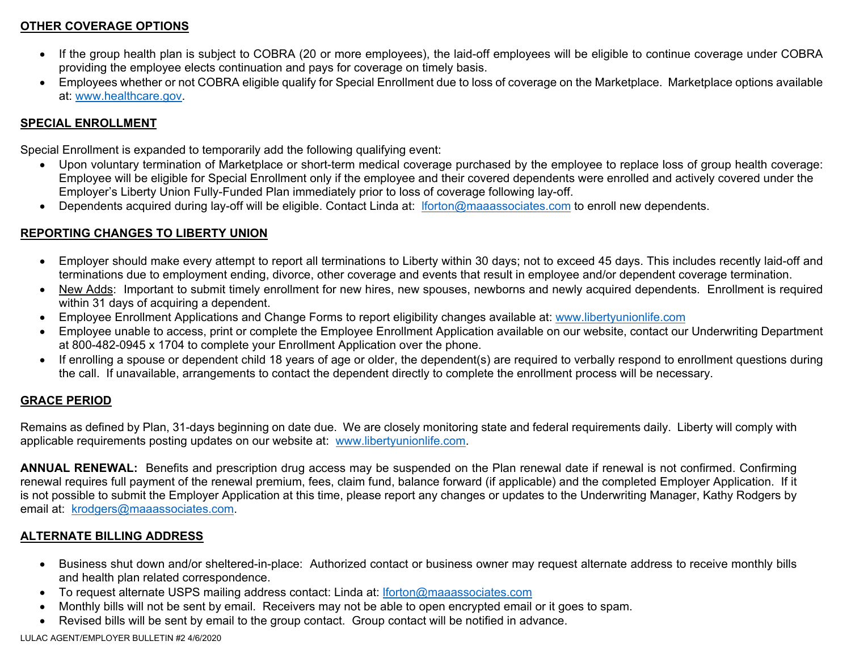# **OTHER COVERAGE OPTIONS**

- If the group health plan is subject to COBRA (20 or more employees), the laid-off employees will be eligible to continue coverage under COBRA providing the employee elects continuation and pays for coverage on timely basis.
- Employees whether or not COBRA eligible qualify for Special Enrollment due to loss of coverage on the Marketplace. Marketplace options available at: www.healthcare.gov.

## **SPECIAL ENROLLMENT**

Special Enrollment is expanded to temporarily add the following qualifying event:

- Upon voluntary termination of Marketplace or short-term medical coverage purchased by the employee to replace loss of group health coverage: Employee will be eligible for Special Enrollment only if the employee and their covered dependents were enrolled and actively covered under the Employer's Liberty Union Fully-Funded Plan immediately prior to loss of coverage following lay-off.
- Dependents acquired during lay-off will be eligible. Contact Linda at: lforton@maaassociates.com to enroll new dependents.

# **REPORTING CHANGES TO LIBERTY UNION**

- Employer should make every attempt to report all terminations to Liberty within 30 days; not to exceed 45 days. This includes recently laid-off and terminations due to employment ending, divorce, other coverage and events that result in employee and/or dependent coverage termination.
- New Adds: Important to submit timely enrollment for new hires, new spouses, newborns and newly acquired dependents. Enrollment is required within 31 days of acquiring a dependent.
- Employee Enrollment Applications and Change Forms to report eligibility changes available at: www.libertyunionlife.com
- Employee unable to access, print or complete the Employee Enrollment Application available on our website, contact our Underwriting Department at 800-482-0945 x 1704 to complete your Enrollment Application over the phone.
- If enrolling a spouse or dependent child 18 years of age or older, the dependent(s) are required to verbally respond to enrollment questions during the call. If unavailable, arrangements to contact the dependent directly to complete the enrollment process will be necessary.

# **GRACE PERIOD**

Remains as defined by Plan, 31-days beginning on date due. We are closely monitoring state and federal requirements daily. Liberty will comply with applicable requirements posting updates on our website at: www.libertyunionlife.com.

**ANNUAL RENEWAL:** Benefits and prescription drug access may be suspended on the Plan renewal date if renewal is not confirmed. Confirming renewal requires full payment of the renewal premium, fees, claim fund, balance forward (if applicable) and the completed Employer Application. If it is not possible to submit the Employer Application at this time, please report any changes or updates to the Underwriting Manager, Kathy Rodgers by email at: krodgers@maaassociates.com.

## **ALTERNATE BILLING ADDRESS**

- Business shut down and/or sheltered-in-place: Authorized contact or business owner may request alternate address to receive monthly bills and health plan related correspondence.
- To request alternate USPS mailing address contact: Linda at: lforton@maaassociates.com
- Monthly bills will not be sent by email. Receivers may not be able to open encrypted email or it goes to spam.
- Revised bills will be sent by email to the group contact. Group contact will be notified in advance.

LULAC AGENT/EMPLOYER BULLETIN #2 4/6/2020